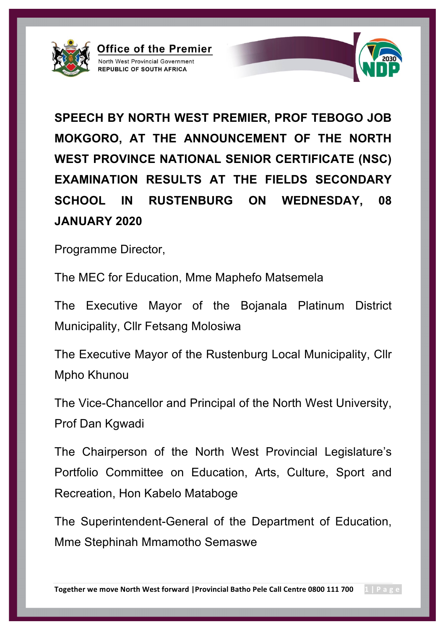

**SPEECH BY NORTH WEST PREMIER, PROF TEBOGO JOB MOKGORO, AT THE ANNOUNCEMENT OF THE NORTH WEST PROVINCE NATIONAL SENIOR CERTIFICATE (NSC) EXAMINATION RESULTS AT THE FIELDS SECONDARY SCHOOL IN RUSTENBURG ON WEDNESDAY, 08 JANUARY 2020**

Programme Director,

The MEC for Education, Mme Maphefo Matsemela

Office of the Premier

North West Provincial Government **REPUBLIC OF SOUTH AFRICA** 

The Executive Mayor of the Bojanala Platinum District Municipality, Cllr Fetsang Molosiwa

The Executive Mayor of the Rustenburg Local Municipality, Cllr Mpho Khunou

The Vice-Chancellor and Principal of the North West University, Prof Dan Kgwadi

The Chairperson of the North West Provincial Legislature's Portfolio Committee on Education, Arts, Culture, Sport and Recreation, Hon Kabelo Mataboge

The Superintendent-General of the Department of Education, Mme Stephinah Mmamotho Semaswe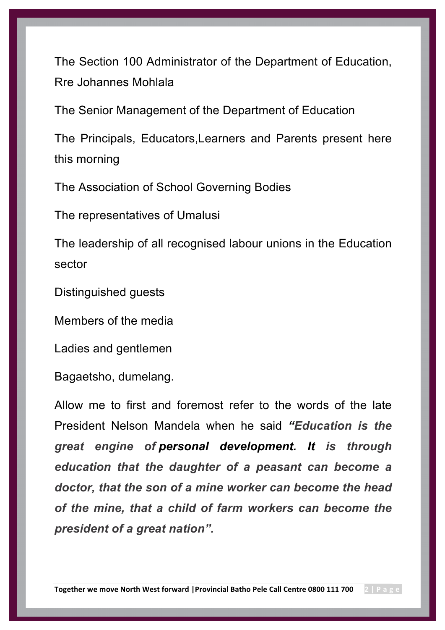The Section 100 Administrator of the Department of Education, Rre Johannes Mohlala

The Senior Management of the Department of Education

The Principals, Educators,Learners and Parents present here this morning

The Association of School Governing Bodies

The representatives of Umalusi

The leadership of all recognised labour unions in the Education sector

Distinguished guests

Members of the media

Ladies and gentlemen

Bagaetsho, dumelang.

Allow me to first and foremost refer to the words of the late President Nelson Mandela when he said *"Education is the great engine of personal development. It is through education that the daughter of a peasant can become a doctor, that the son of a mine worker can become the head of the mine, that a child of farm workers can become the president of a great nation".*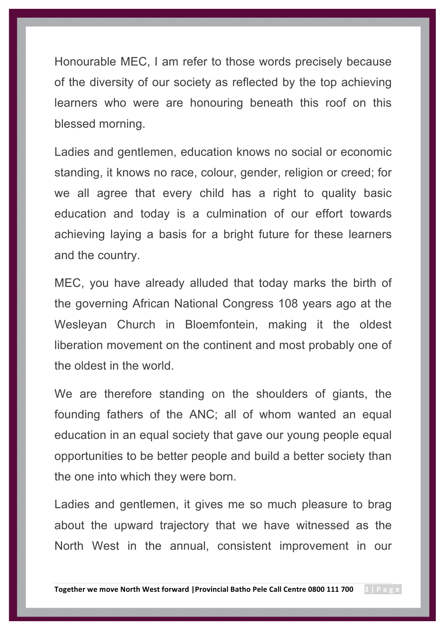Honourable MEC, I am refer to those words precisely because of the diversity of our society as reflected by the top achieving learners who were are honouring beneath this roof on this blessed morning.

Ladies and gentlemen, education knows no social or economic standing, it knows no race, colour, gender, religion or creed; for we all agree that every child has a right to quality basic education and today is a culmination of our effort towards achieving laying a basis for a bright future for these learners and the country.

MEC, you have already alluded that today marks the birth of the governing African National Congress 108 years ago at the Wesleyan Church in Bloemfontein, making it the oldest liberation movement on the continent and most probably one of the oldest in the world.

We are therefore standing on the shoulders of giants, the founding fathers of the ANC; all of whom wanted an equal education in an equal society that gave our young people equal opportunities to be better people and build a better society than the one into which they were born.

Ladies and gentlemen, it gives me so much pleasure to brag about the upward trajectory that we have witnessed as the North West in the annual, consistent improvement in our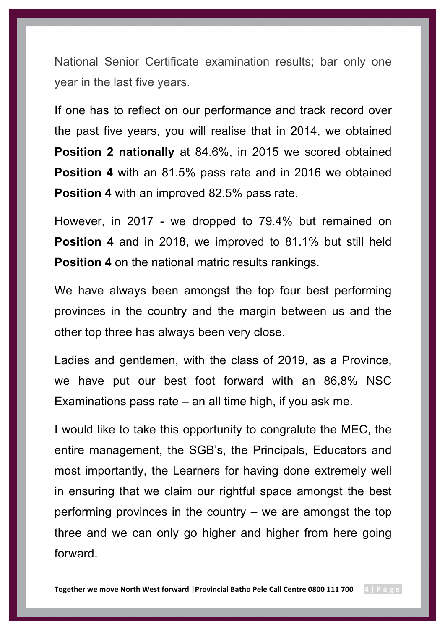National Senior Certificate examination results; bar only one year in the last five years.

If one has to reflect on our performance and track record over the past five years, you will realise that in 2014, we obtained **Position 2 nationally** at 84.6%, in 2015 we scored obtained **Position 4** with an 81.5% pass rate and in 2016 we obtained **Position 4** with an improved 82.5% pass rate.

However, in 2017 - we dropped to 79.4% but remained on **Position 4** and in 2018, we improved to 81.1% but still held **Position 4** on the national matric results rankings.

We have always been amongst the top four best performing provinces in the country and the margin between us and the other top three has always been very close.

Ladies and gentlemen, with the class of 2019, as a Province, we have put our best foot forward with an 86,8% NSC Examinations pass rate – an all time high, if you ask me.

I would like to take this opportunity to congralute the MEC, the entire management, the SGB's, the Principals, Educators and most importantly, the Learners for having done extremely well in ensuring that we claim our rightful space amongst the best performing provinces in the country – we are amongst the top three and we can only go higher and higher from here going forward.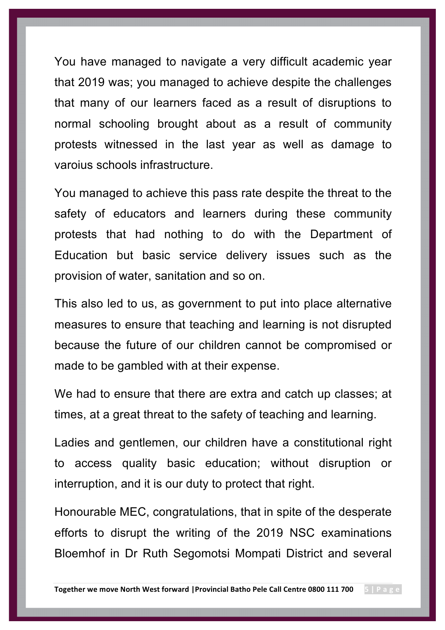You have managed to navigate a very difficult academic year that 2019 was; you managed to achieve despite the challenges that many of our learners faced as a result of disruptions to normal schooling brought about as a result of community protests witnessed in the last year as well as damage to varoius schools infrastructure.

You managed to achieve this pass rate despite the threat to the safety of educators and learners during these community protests that had nothing to do with the Department of Education but basic service delivery issues such as the provision of water, sanitation and so on.

This also led to us, as government to put into place alternative measures to ensure that teaching and learning is not disrupted because the future of our children cannot be compromised or made to be gambled with at their expense.

We had to ensure that there are extra and catch up classes; at times, at a great threat to the safety of teaching and learning.

Ladies and gentlemen, our children have a constitutional right to access quality basic education; without disruption or interruption, and it is our duty to protect that right.

Honourable MEC, congratulations, that in spite of the desperate efforts to disrupt the writing of the 2019 NSC examinations Bloemhof in Dr Ruth Segomotsi Mompati District and several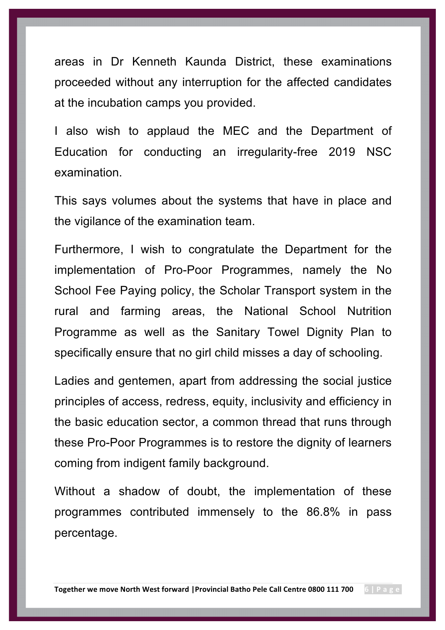areas in Dr Kenneth Kaunda District, these examinations proceeded without any interruption for the affected candidates at the incubation camps you provided.

I also wish to applaud the MEC and the Department of Education for conducting an irregularity-free 2019 NSC examination.

This says volumes about the systems that have in place and the vigilance of the examination team.

Furthermore, I wish to congratulate the Department for the implementation of Pro-Poor Programmes, namely the No School Fee Paying policy, the Scholar Transport system in the rural and farming areas, the National School Nutrition Programme as well as the Sanitary Towel Dignity Plan to specifically ensure that no girl child misses a day of schooling.

Ladies and gentemen, apart from addressing the social justice principles of access, redress, equity, inclusivity and efficiency in the basic education sector, a common thread that runs through these Pro-Poor Programmes is to restore the dignity of learners coming from indigent family background.

Without a shadow of doubt, the implementation of these programmes contributed immensely to the 86.8% in pass percentage.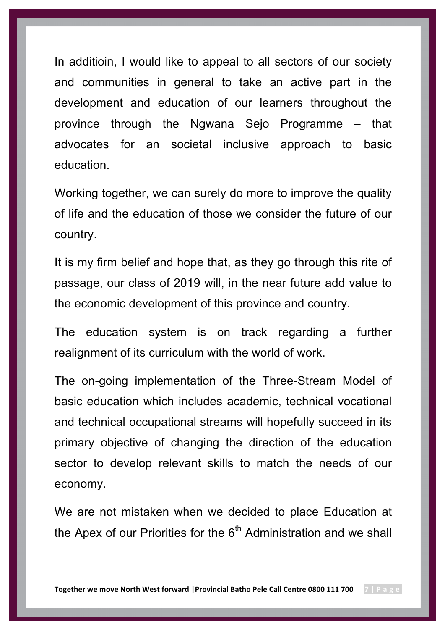In additioin, I would like to appeal to all sectors of our society and communities in general to take an active part in the development and education of our learners throughout the province through the Ngwana Sejo Programme – that advocates for an societal inclusive approach to basic education.

Working together, we can surely do more to improve the quality of life and the education of those we consider the future of our country.

It is my firm belief and hope that, as they go through this rite of passage, our class of 2019 will, in the near future add value to the economic development of this province and country.

The education system is on track regarding a further realignment of its curriculum with the world of work.

The on-going implementation of the Three-Stream Model of basic education which includes academic, technical vocational and technical occupational streams will hopefully succeed in its primary objective of changing the direction of the education sector to develop relevant skills to match the needs of our economy.

We are not mistaken when we decided to place Education at the Apex of our Priorities for the  $6<sup>th</sup>$  Administration and we shall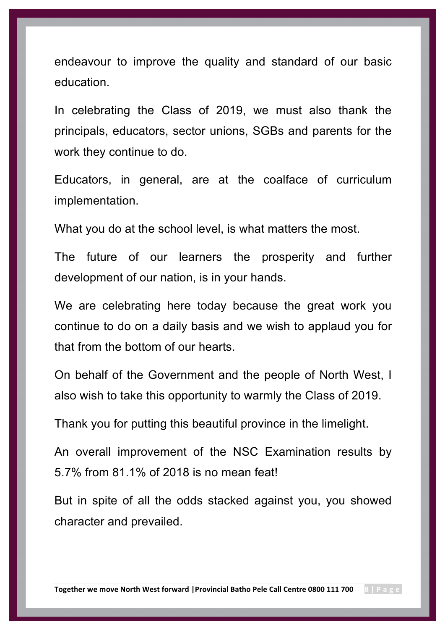endeavour to improve the quality and standard of our basic education.

In celebrating the Class of 2019, we must also thank the principals, educators, sector unions, SGBs and parents for the work they continue to do.

Educators, in general, are at the coalface of curriculum implementation.

What you do at the school level, is what matters the most.

The future of our learners the prosperity and further development of our nation, is in your hands.

We are celebrating here today because the great work you continue to do on a daily basis and we wish to applaud you for that from the bottom of our hearts.

On behalf of the Government and the people of North West, I also wish to take this opportunity to warmly the Class of 2019.

Thank you for putting this beautiful province in the limelight.

An overall improvement of the NSC Examination results by 5.7% from 81.1% of 2018 is no mean feat!

But in spite of all the odds stacked against you, you showed character and prevailed.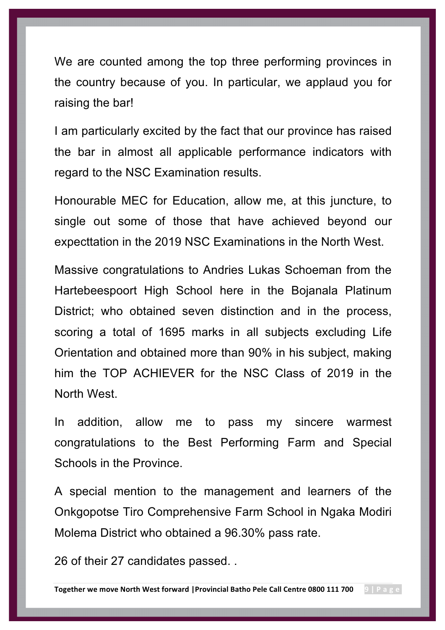We are counted among the top three performing provinces in the country because of you. In particular, we applaud you for raising the bar!

I am particularly excited by the fact that our province has raised the bar in almost all applicable performance indicators with regard to the NSC Examination results.

Honourable MEC for Education, allow me, at this juncture, to single out some of those that have achieved beyond our expecttation in the 2019 NSC Examinations in the North West.

Massive congratulations to Andries Lukas Schoeman from the Hartebeespoort High School here in the Bojanala Platinum District; who obtained seven distinction and in the process, scoring a total of 1695 marks in all subjects excluding Life Orientation and obtained more than 90% in his subject, making him the TOP ACHIEVER for the NSC Class of 2019 in the North West.

In addition, allow me to pass my sincere warmest congratulations to the Best Performing Farm and Special Schools in the Province.

A special mention to the management and learners of the Onkgopotse Tiro Comprehensive Farm School in Ngaka Modiri Molema District who obtained a 96.30% pass rate.

26 of their 27 candidates passed. .